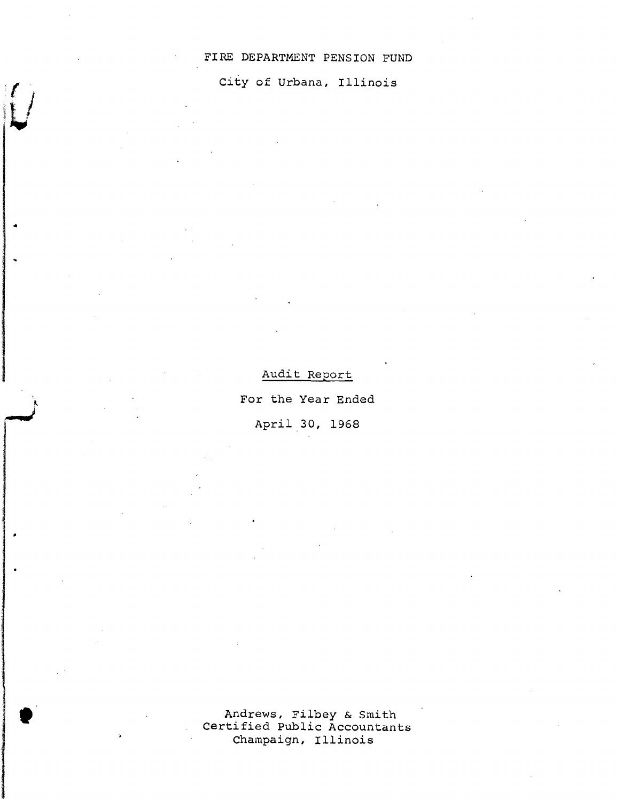## FIRE DEPARTMENT PENSION FUND

## City of Urbana, Illinois

..

,

Audit Report

For the Year Ended

April.30, 1968

Andrews, Filbey & Smith Certified Public Accountants Champaign, Illinois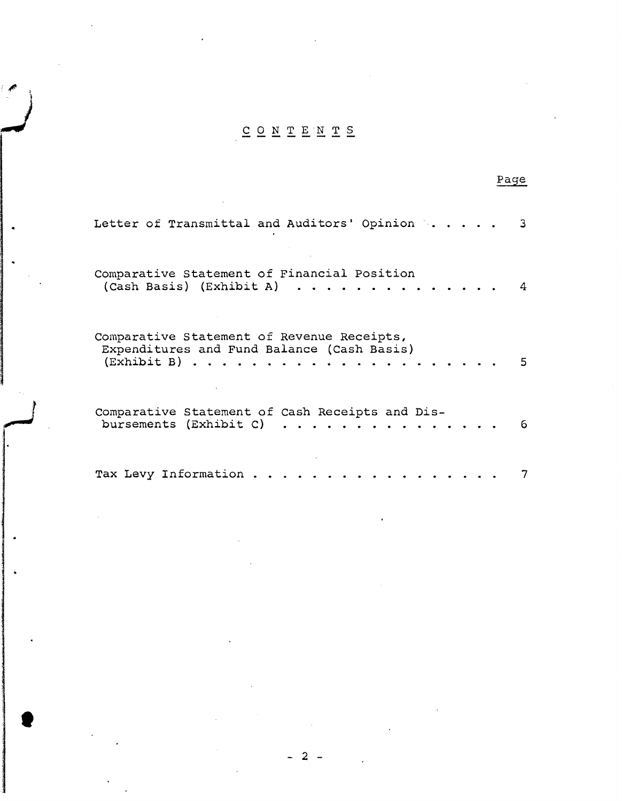# .J CONTENTS

 $\epsilon$ ,

t

| Letter of Transmittal and Auditors' Opinion                                                                                           |   |
|---------------------------------------------------------------------------------------------------------------------------------------|---|
| Comparative Statement of Financial Position<br>(Cash Basis) (Exhibit A)                                                               |   |
| Comparative Statement of Revenue Receipts,<br>Expenditures and Fund Balance (Cash Basis)<br>$(Exhibit B) \ldots \ldots \ldots \ldots$ |   |
| Comparative Statement of Cash Receipts and Dis-<br>bursements (Exhibit C)<br>.                                                        | 6 |
| Tax Levy Information                                                                                                                  |   |

## Page

- 2 -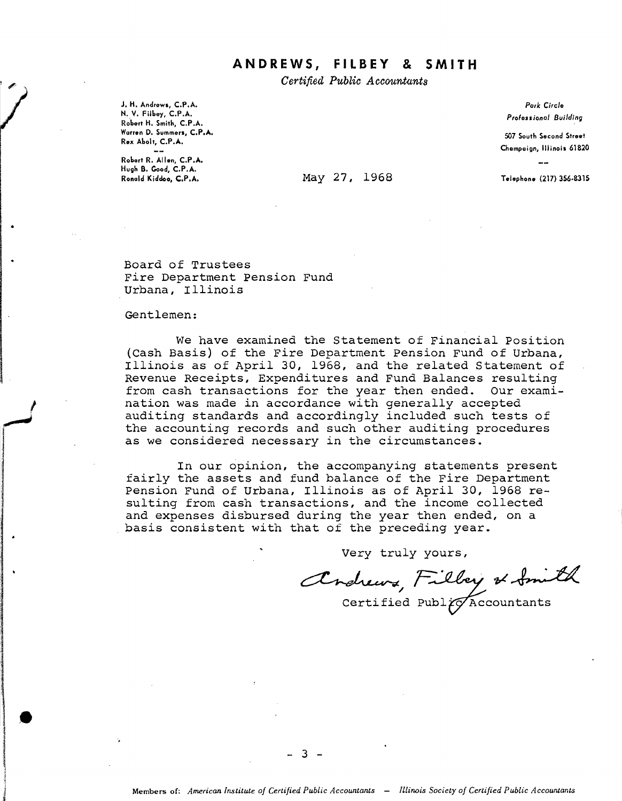## **ANDREWS, FILBEY & SMITH**

*Certified Public Accou.ntants*

J. H. Andrews, C.P.A. N. V. Filbey, C.P.A. Robert H. Smith, C.P.A. Warren D. Summers, C.P.A. Rex Abolt, C.P.A.

Robert R. Allen, C.P.A. Hugh B. Good, C.P.A.

#### May 27, 1968 Telephone (217) 356-8315

*Park Circle Professional Building*

S07 South Second Street Champaign, Illinois 61820

Board of Trustees Fire Department Pension Fund Urbana, Illinois

#### Gentlemen:

I, " Marketing<br>Marketing •

We have examined the Statement of Financial Position (Cash Basis) of the Fire Department Pension Fund of Urbana, Illinois as of April 30, 1968, and the related Statement of Revenue Receipts, Expenditures and Fund Balances resulting from cash transactions for the year then ended. Our examination was made in accordance with generally accepted auditing standards and accordingly included such tests of the accounting records and such other auditing procedures as we considered necessary in the circumstances.

In our opinion, the accompanying statements present fairly the assets and fund balance of the Fire Department Pension Fund of Urbana, Illinois as of April 30, 1968 resulting from cash transactions, and the income collected and expenses disbursed during the year then ended, on a basis consistent with that of the preceding year.

Very truly yours,

Very truly yours,<br>Andrews Filley of Smith

Certified Publ $\widetilde{\vphantom{1}}$  Publ $\widetilde{\vphantom{1}}$  Accountants

 $3 -$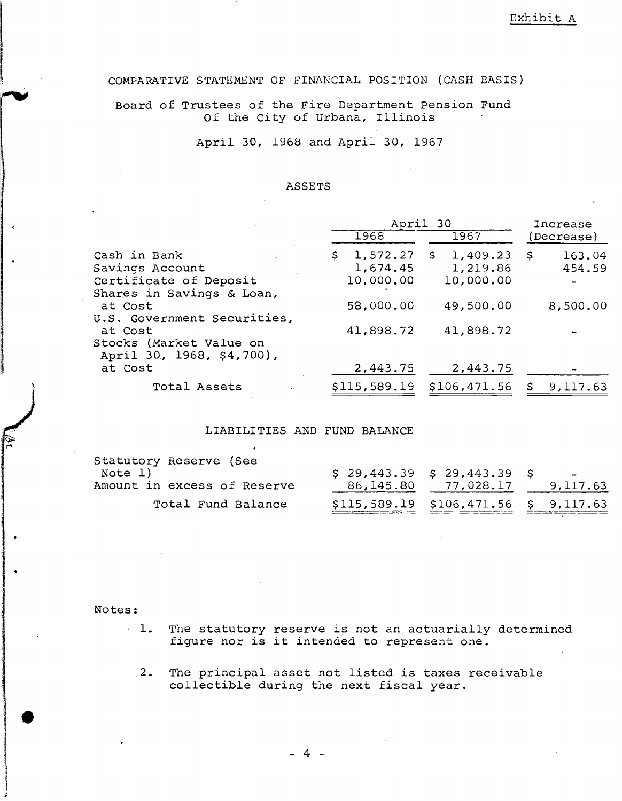COMPARATIVE STATEMENT OF FINANCIAL POSITION (CASH BASIS)

Board of Trustees of the Fire Department Pension Fund Of the city of Urbana, Illinois

April 30, 1968 and April 30, 1967

#### ASSETS

|                                                                 | April 30             |                            | Increase                 |  |
|-----------------------------------------------------------------|----------------------|----------------------------|--------------------------|--|
|                                                                 | 1968                 | 1967                       | (Decrease)               |  |
| Cash in Bank<br>Savings Account                                 | 1,572.27<br>1,674.45 | 1,409.23<br>S.<br>1,219.86 | 163.04<br>- \$<br>454.59 |  |
| Certificate of Deposit<br>Shares in Savings & Loan,             | 10,000.00            | 10,000.00                  |                          |  |
| at Cost<br>U.S. Government Securities,                          | 58,000.00            | 49,500.00                  | 8,500.00                 |  |
| at Cost<br>Stocks (Market Value on<br>April 30, 1968, \$4,700), | 41,898.72            | 41,898.72                  |                          |  |
| at Cost                                                         | 2,443.75             | 2,443.75                   |                          |  |
| Total Assets                                                    | \$115,589.19         | \$106,471.56               | 9,117.63                 |  |

#### LIABILITIES AND FUND BALANCE

| Statutory Reserve (See      |                                         |          |
|-----------------------------|-----------------------------------------|----------|
| Note 1)                     | \$29,443.39\$329,443.39\$               | $\sim$   |
| Amount in excess of Reserve | 86,145.80 77,028.17                     | 9,117.63 |
| Total Fund Balance          | $$115,589.19$ $$106,471.56$ $$9,117.63$ |          |

Notes:

•

- . 1. The statutory reserve *is* not an actuarially determined figure nor *is* it intended to represent one.
	- 2. The principal asset not listed *is* taxes receivable collectible during the next fiscal year.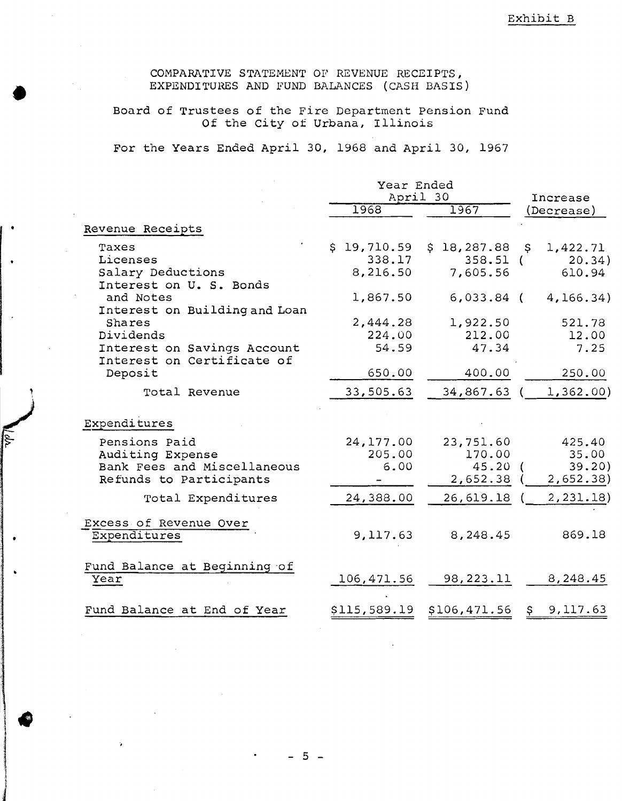COMPARATIVE STATEMENT OF REVENUE RECEIPTS, EXPENDITURES AND FUND BALANCES (CASH BASIS)

**●** 

Board of Trustees of the Fire Department Pension Fund Of the city of Urbana, Illinois

For the Years Ended April 30, 1968 and April 30, 1967

|                                                                                                                   | Year Ended<br>April 30                        |                                                       | Increase                                        |
|-------------------------------------------------------------------------------------------------------------------|-----------------------------------------------|-------------------------------------------------------|-------------------------------------------------|
|                                                                                                                   | 1968                                          | 1967                                                  | (Decrease)                                      |
| Revenue Receipts                                                                                                  |                                               |                                                       |                                                 |
| Taxes<br>Licenses<br>Salary Deductions<br>Interest on U. S. Bonds<br>and Notes                                    | \$19,710.59<br>338.17<br>8,216.50<br>1,867.50 | \$18,287.88<br>$358.51$ (<br>7,605.56<br>$6,033.84$ ( | S<br>1,422.71<br>20.34)<br>610.94<br>4, 166.34) |
| Interest on Building and Loan<br>Shares<br>Dividends<br>Interest on Savings Account<br>Interest on Certificate of | 2,444.28<br>224.00<br>54.59                   | 1,922.50<br>212.00<br>47.34                           | 521.78<br>12.00<br>7.25                         |
| Deposit<br>Total Revenue                                                                                          | 650.00<br>33,505.63                           | 400.00<br>34,867.63                                   | 250.00<br>1,362.00)                             |
| Expenditures<br>Pensions Paid<br>Auditing Expense<br>Bank Fees and Miscellaneous                                  | 24,177.00<br>205.00<br>6.00                   | 23,751.60<br>170.00<br>45.20                          | 425.40<br>35.00<br>39.20                        |
| Refunds to Participants<br>Total Expenditures                                                                     | 24,388.00                                     | 2,652.38<br>26,619.18                                 | 2,652.38)<br>2,231.18)                          |
| Excess of Revenue Over<br>Expenditures                                                                            | 9,117.63                                      | 8,248.45                                              | 869.18                                          |
| Fund Balance at Beginning of<br>Year                                                                              | 106,471.56                                    | 98,223.11                                             | 8,248.45                                        |
| Fund Balance at End of Year                                                                                       | \$115,589.19                                  | \$106,471.56                                          | 9,117.63<br>\$.                                 |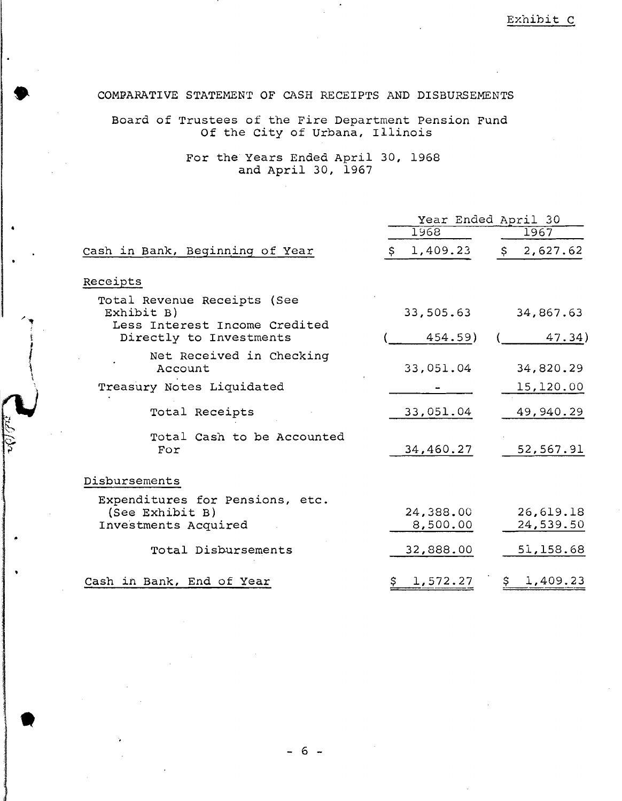### COMFARATIVE STATEMENT OF CASH RECEIPTS AND DISBURSEMENTS

**•** 

•

Board of Trustees of the Fire Department Pension Fund Of the city of Urbana, Illinois

> For the Years Ended April 30, 1968 and April 30, 1967

|         |                                                                            | Year Ended April 30   |                        |
|---------|----------------------------------------------------------------------------|-----------------------|------------------------|
|         |                                                                            | 1968                  | 1967                   |
|         | Cash in Bank, Beginning of Year                                            | 1,409.23              | 2,627.62<br>S.         |
|         | Receipts                                                                   |                       |                        |
|         | Total Revenue Receipts (See<br>Exhibit B)<br>Less Interest Income Credited | 33,505.63             | 34,867.63              |
|         | Directly to Investments                                                    | 454.59)               | 47.34)                 |
|         | Net Received in Checking<br>Account                                        | 33,051.04             | 34,820.29              |
|         | Treasury Notes Liquidated                                                  |                       | 15,120.00              |
|         | Total Receipts                                                             | 33,051.04             | 49,940.29              |
| ri<br>P | Total Cash to be Accounted<br>For                                          | 34,460.27             | 52,567.91              |
|         | Disbursements                                                              |                       |                        |
|         | Expenditures for Pensions, etc.<br>(See Exhibit B)<br>Investments Acquired | 24,388.00<br>8,500.00 | 26,619.18<br>24,539.50 |
|         | Total Disbursements                                                        | 32,888.00             | 51,158.68              |
|         | Cash in Bank, End of Year                                                  | 1,572.27              | 1,409.23<br>S.         |